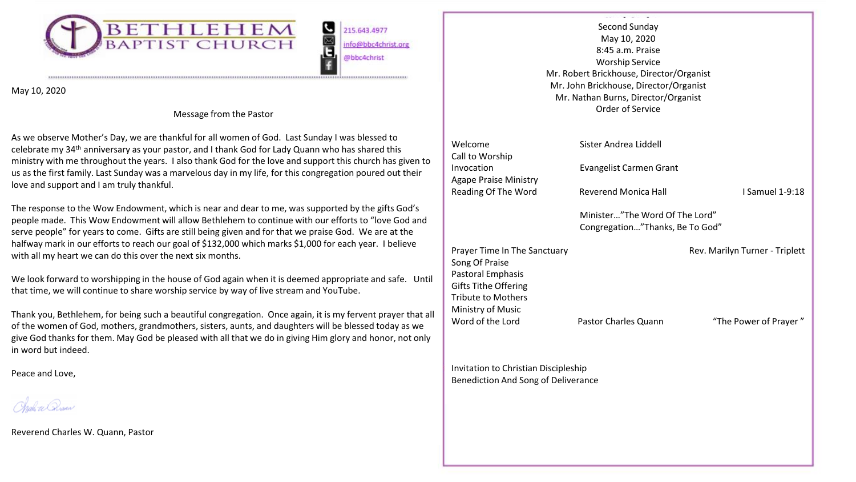

215.643.4977 info@bbc4christ.org @bbc4christ

י <mark>שו</mark>

May 10, 2020

# Message from the Pastor

As we observe Mother's Day, we are thankful for all women of God. Last Sunday I was blessed to celebrate my 34th anniversary as your pastor, and I thank God for Lady Quann who has shared this ministry with me throughout the years. I also thank God for the love and support this church has given to us as the first family. Last Sunday was a marvelous day in my life, for this congregation poured out their love and support and I am truly thankful.

The response to the Wow Endowment, which is near and dear to me, was supported by the gifts God's people made. This Wow Endowment will allow Bethlehem to continue with our efforts to "love God and serve people" for years to come. Gifts are still being given and for that we praise God. We are at the halfway mark in our efforts to reach our goal of \$132,000 which marks \$1,000 for each year. I believe with all my heart we can do this over the next six months.

We look forward to worshipping in the house of God again when it is deemed appropriate and safe. Until that time, we will continue to share worship service by way of live stream and YouTube.

Thank you, Bethlehem, for being such a beautiful congregation. Once again, it is my fervent prayer that all of the women of God, mothers, grandmothers, sisters, aunts, and daughters will be blessed today as we give God thanks for them. May God be pleased with all that we do in giving Him glory and honor, not only in word but indeed.

Peace and Love,

rab ee Oosan

Reverend Charles W. Quann, Pastor

|                                                                                                                                                                          | Second Sunday<br>May 10, 2020<br>8:45 a.m. Praise<br><b>Worship Service</b><br>Mr. Robert Brickhouse, Director/Organist<br>Mr. John Brickhouse, Director/Organist<br>Mr. Nathan Burns, Director/Organist<br>Order of Service |                                                         |
|--------------------------------------------------------------------------------------------------------------------------------------------------------------------------|------------------------------------------------------------------------------------------------------------------------------------------------------------------------------------------------------------------------------|---------------------------------------------------------|
| Welcome                                                                                                                                                                  | Sister Andrea Liddell                                                                                                                                                                                                        |                                                         |
| Call to Worship<br>Invocation<br><b>Agape Praise Ministry</b>                                                                                                            | Evangelist Carmen Grant                                                                                                                                                                                                      |                                                         |
| Reading Of The Word                                                                                                                                                      | Reverend Monica Hall                                                                                                                                                                                                         | I Samuel 1-9:18                                         |
|                                                                                                                                                                          | Minister"The Word Of The Lord"<br>Congregation"Thanks, Be To God"                                                                                                                                                            |                                                         |
| Prayer Time In The Sanctuary<br>Song Of Praise<br>Pastoral Emphasis<br><b>Gifts Tithe Offering</b><br><b>Tribute to Mothers</b><br>Ministry of Music<br>Word of the Lord | Pastor Charles Quann                                                                                                                                                                                                         | Rev. Marilyn Turner - Triplett<br>"The Power of Prayer" |
| Invitation to Christian Discipleship                                                                                                                                     |                                                                                                                                                                                                                              |                                                         |
| Benediction And Song of Deliverance                                                                                                                                      |                                                                                                                                                                                                                              |                                                         |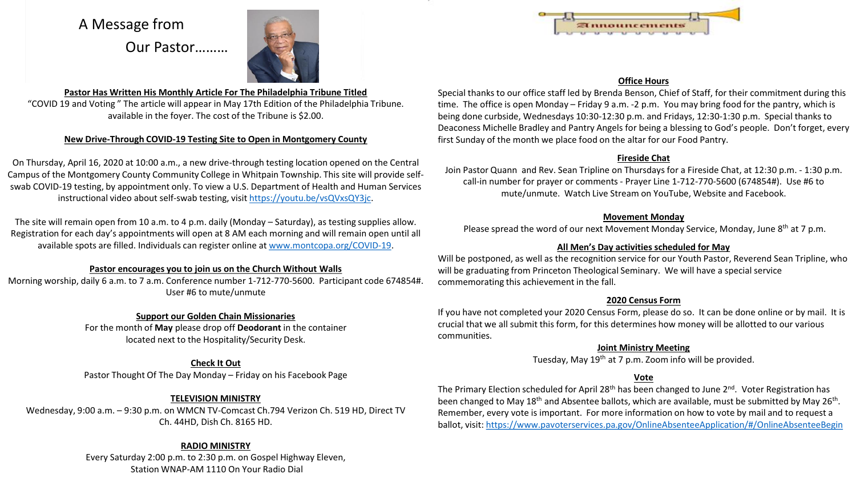# A Message from

Our Pastor………



#### **Pastor Has Written His Monthly Article For The Philadelphia Tribune Titled** "COVID 19 and Voting " The article will appear in May 17th Edition of the Philadelphia Tribune. available in the foyer. The cost of the Tribune is \$2.00.

#### **New Drive-Through COVID-19 Testing Site to Open in Montgomery County**

On Thursday, April 16, 2020 at 10:00 a.m., a new drive-through testing location opened on the Central Campus of the Montgomery County Community College in Whitpain Township. This site will provide selfswab COVID-19 testing, by appointment only. To view a U.S. Department of Health and Human Services instructional video about self-swab testing, visit <https://youtu.be/vsQVxsQY3jc>.

The site will remain open from 10 a.m. to 4 p.m. daily (Monday – Saturday), as testing supplies allow. Registration for each day's appointments will open at 8 AM each morning and will remain open until all available spots are filled. Individuals can register online at [www.montcopa.org/COVID-19.](http://www.montcopa.org/COVID-19)

#### **Pastor encourages you to join us on the Church Without Walls**

Morning worship, daily 6 a.m. to 7 a.m. Conference number 1-712-770-5600. Participant code 674854#. User #6 to mute/unmute

#### **Support our Golden Chain Missionaries**

For the month of **May** please drop off **Deodorant** in the container located next to the Hospitality/Security Desk.

# **Check It Out**

Pastor Thought Of The Day Monday – Friday on his Facebook Page

# **TELEVISION MINISTRY**

Wednesday, 9:00 a.m. – 9:30 p.m. on WMCN TV-Comcast Ch.794 Verizon Ch. 519 HD, Direct TV Ch. 44HD, Dish Ch. 8165 HD.

# **RADIO MINISTRY**

Every Saturday 2:00 p.m. to 2:30 p.m. on Gospel Highway Eleven, Station WNAP-AM 1110 On Your Radio Dial



#### **Office Hours**

Special thanks to our office staff led by Brenda Benson, Chief of Staff, for their commitment during this time. The office is open Monday – Friday 9 a.m. -2 p.m. You may bring food for the pantry, which is being done curbside, Wednesdays 10:30-12:30 p.m. and Fridays, 12:30-1:30 p.m. Special thanks to Deaconess Michelle Bradley and Pantry Angels for being a blessing to God's people. Don't forget, every first Sunday of the month we place food on the altar for our Food Pantry.

#### **Fireside Chat**

Join Pastor Quann and Rev. Sean Tripline on Thursdays for a Fireside Chat, at 12:30 p.m. - 1:30 p.m. call-in number for prayer or comments - Prayer Line 1-712-770-5600 (674854#). Use #6 to mute/unmute. Watch Live Stream on YouTube, Website and Facebook.

#### **Movement Monday**

Please spread the word of our next Movement Monday Service, Monday, June 8<sup>th</sup> at 7 p.m.

# **All Men's Day activities scheduled for May**

Will be postponed, as well as the recognition service for our Youth Pastor, Reverend Sean Tripline, who will be graduating from Princeton Theological Seminary. We will have a special service commemorating this achievement in the fall.

#### **2020 Census Form**

If you have not completed your 2020 Census Form, please do so. It can be done online or by mail. It is crucial that we all submit this form, for this determines how money will be allotted to our various communities.

# **Joint Ministry Meeting**

Tuesday, May 19th at 7 p.m. Zoom info will be provided.

# **Vote**

The Primary Election scheduled for April 28<sup>th</sup> has been changed to June 2<sup>nd</sup>. Voter Registration has been changed to May 18<sup>th</sup> and Absentee ballots, which are available, must be submitted by May 26<sup>th</sup>. Remember, every vote is important. For more information on how to vote by mail and to request a ballot, visit:<https://www.pavoterservices.pa.gov/OnlineAbsenteeApplication/#/OnlineAbsenteeBegin>